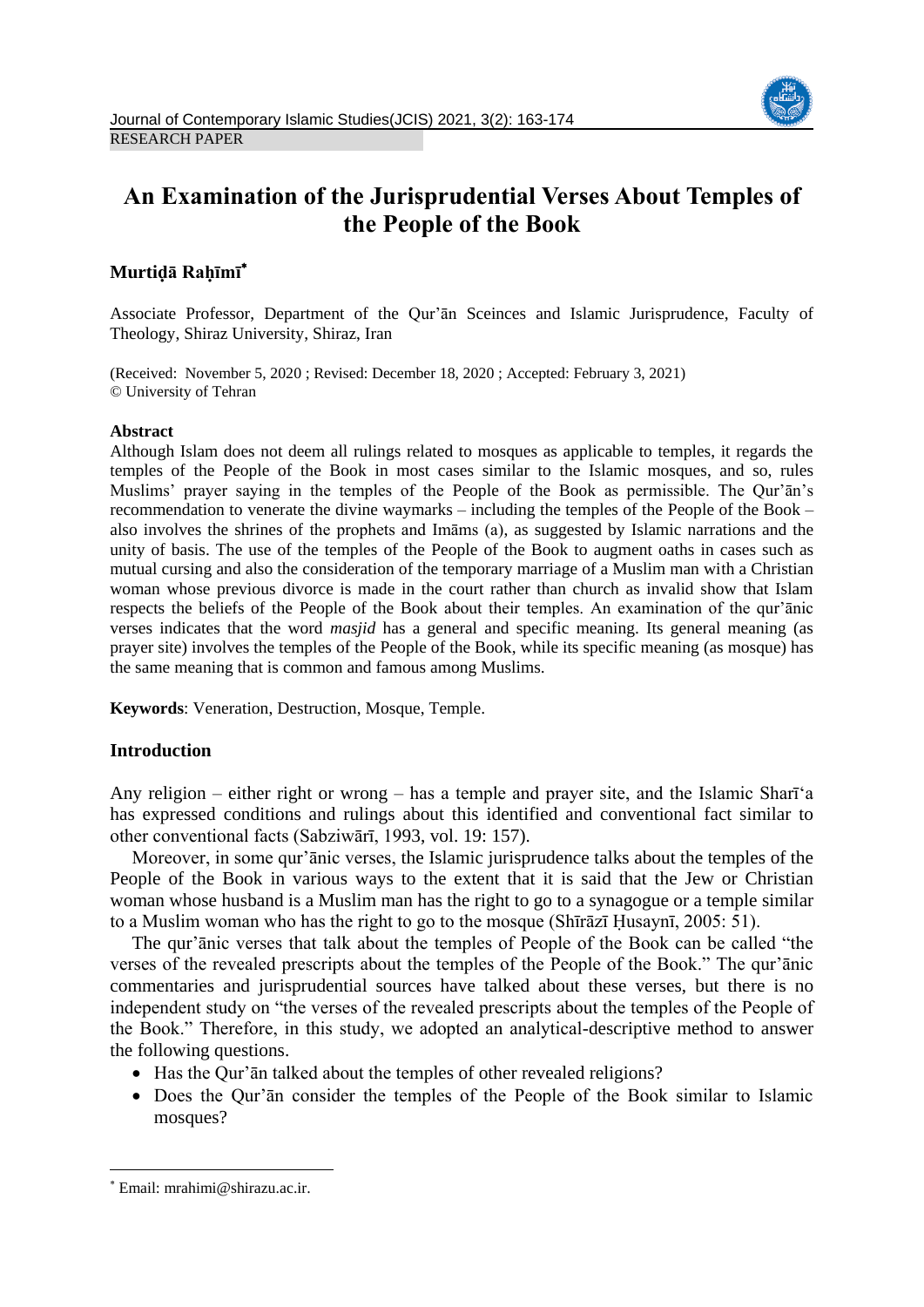

# **An Examination of the Jurisprudential Verses About Temples of the People of the Book**

# **Murtiḍā Raḥīmī**

Associate Professor, Department of the Qur'ān Sceinces and Islamic Jurisprudence, Faculty of Theology, Shiraz University, Shiraz, Iran

(Received: November 5, 2020 ; Revised: December 18, 2020 ; Accepted: February 3, 2021) © University of Tehran

#### **Abstract**

Although Islam does not deem all rulings related to mosques as applicable to temples, it regards the temples of the People of the Book in most cases similar to the Islamic mosques, and so, rules Muslims' prayer saying in the temples of the People of the Book as permissible. The Qur'ān's recommendation to venerate the divine waymarks – including the temples of the People of the Book – also involves the shrines of the prophets and Imāms (a), as suggested by Islamic narrations and the unity of basis. The use of the temples of the People of the Book to augment oaths in cases such as mutual cursing and also the consideration of the temporary marriage of a Muslim man with a Christian woman whose previous divorce is made in the court rather than church as invalid show that Islam respects the beliefs of the People of the Book about their temples. An examination of the qur'ānic verses indicates that the word *masjid* has a general and specific meaning. Its general meaning (as prayer site) involves the temples of the People of the Book, while its specific meaning (as mosque) has the same meaning that is common and famous among Muslims.

**Keywords**: Veneration, Destruction, Mosque, Temple.

# **Introduction**

Any religion – either right or wrong – has a temple and prayer site, and the Islamic Sharī'a has expressed conditions and rulings about this identified and conventional fact similar to other conventional facts (Sabziwārī, 1993, vol. 19: 157).

Moreover, in some qur'ānic verses, the Islamic jurisprudence talks about the temples of the People of the Book in various ways to the extent that it is said that the Jew or Christian woman whose husband is a Muslim man has the right to go to a synagogue or a temple similar to a Muslim woman who has the right to go to the mosque (Shīrāzī Ḥusaynī, 2005: 51).

The qur'ānic verses that talk about the temples of People of the Book can be called "the verses of the revealed prescripts about the temples of the People of the Book." The qur'ānic commentaries and jurisprudential sources have talked about these verses, but there is no independent study on "the verses of the revealed prescripts about the temples of the People of the Book." Therefore, in this study, we adopted an analytical-descriptive method to answer the following questions.

- Has the Qur'an talked about the temples of other revealed religions?
- Does the Qur'ān consider the temples of the People of the Book similar to Islamic mosques?

**.** 

Email: mrahimi@shirazu.ac.ir.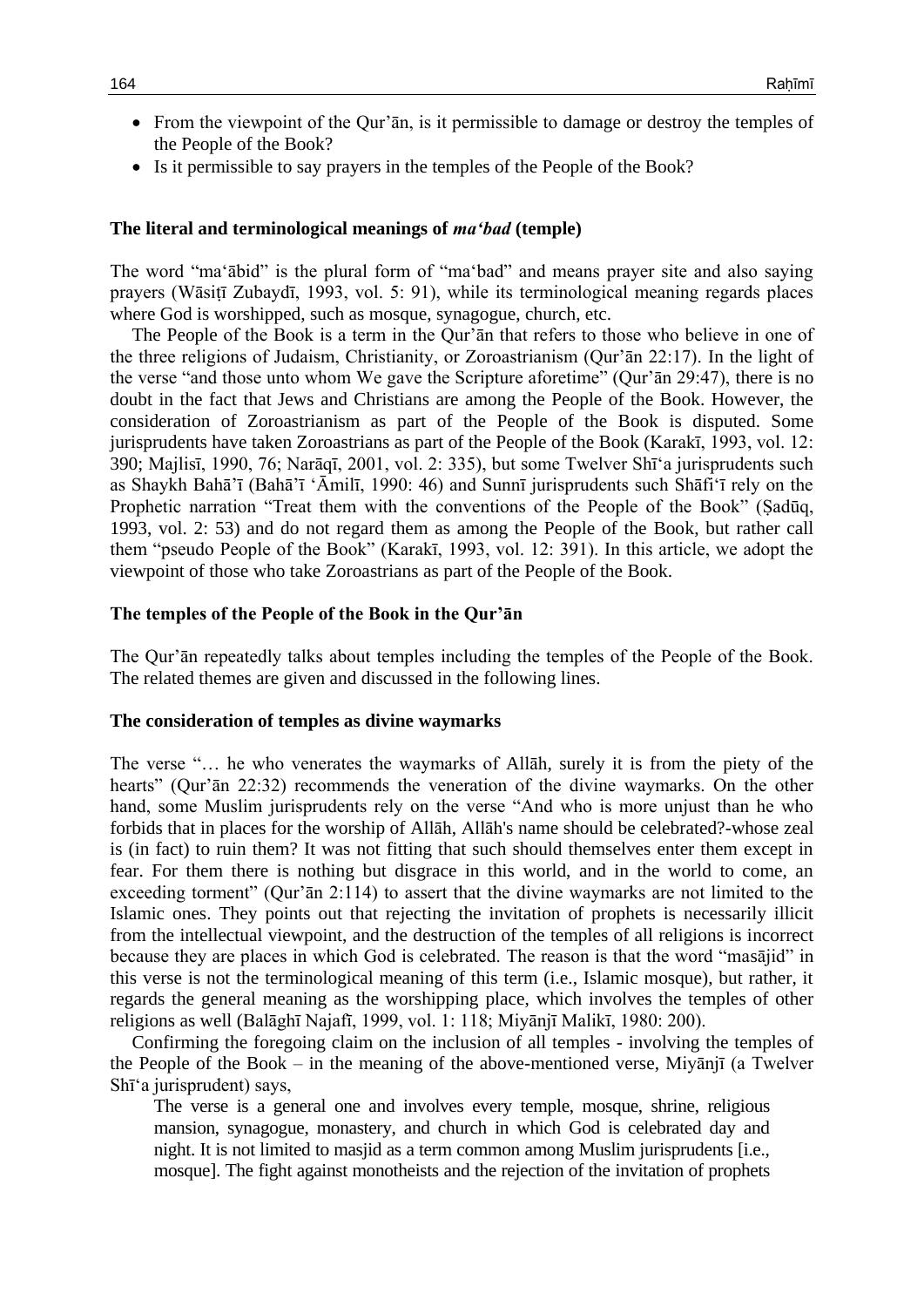- From the viewpoint of the Qur'an, is it permissible to damage or destroy the temples of the People of the Book?
- Is it permissible to say prayers in the temples of the People of the Book?

#### **The literal and terminological meanings of** *ma'bad* **(temple)**

The word "ma'ābid" is the plural form of "ma'bad" and means prayer site and also saying prayers (Wāsiṭī Zubaydī, 1993, vol. 5: 91), while its terminological meaning regards places where God is worshipped, such as mosque, synagogue, church, etc.

The People of the Book is a term in the Qur'ān that refers to those who believe in one of the three religions of Judaism, Christianity, or Zoroastrianism (Qur'ān 22:17). In the light of the verse "and those unto whom We gave the Scripture aforetime" (Qur'ān 29:47), there is no doubt in the fact that Jews and Christians are among the People of the Book. However, the consideration of Zoroastrianism as part of the People of the Book is disputed. Some jurisprudents have taken Zoroastrians as part of the People of the Book (Karakī, 1993, vol. 12: 390; Majlisī, 1990, 76; Narāqī, 2001, vol. 2: 335), but some Twelver Shī'a jurisprudents such as Shaykh Bahā'ī (Bahā'ī 'Āmilī, 1990: 46) and Sunnī jurisprudents such Shāfi'ī rely on the Prophetic narration "Treat them with the conventions of the People of the Book" (Sadūq, 1993, vol. 2: 53) and do not regard them as among the People of the Book, but rather call them "pseudo People of the Book" (Karakī, 1993, vol. 12: 391). In this article, we adopt the viewpoint of those who take Zoroastrians as part of the People of the Book.

#### **The temples of the People of the Book in the Qur'ān**

The Qur'ān repeatedly talks about temples including the temples of the People of the Book. The related themes are given and discussed in the following lines.

#### **The consideration of temples as divine waymarks**

The verse "… he who venerates the waymarks of Allāh, surely it is from the piety of the hearts" (Qur'ān 22:32) recommends the veneration of the divine waymarks. On the other hand, some Muslim jurisprudents rely on the verse "And who is more unjust than he who forbids that in places for the worship of Allāh, Allāh's name should be celebrated?-whose zeal is (in fact) to ruin them? It was not fitting that such should themselves enter them except in fear. For them there is nothing but disgrace in this world, and in the world to come, an exceeding torment" (Qur'ān 2:114) to assert that the divine waymarks are not limited to the Islamic ones. They points out that rejecting the invitation of prophets is necessarily illicit from the intellectual viewpoint, and the destruction of the temples of all religions is incorrect because they are places in which God is celebrated. The reason is that the word "masājid" in this verse is not the terminological meaning of this term (i.e., Islamic mosque), but rather, it regards the general meaning as the worshipping place, which involves the temples of other religions as well (Balāghī Najafī, 1999, vol. 1: 118; Miyānjī Malikī, 1980: 200).

Confirming the foregoing claim on the inclusion of all temples - involving the temples of the People of the Book – in the meaning of the above-mentioned verse, Miyānjī (a Twelver Shī'a jurisprudent) says,

The verse is a general one and involves every temple, mosque, shrine, religious mansion, synagogue, monastery, and church in which God is celebrated day and night. It is not limited to masjid as a term common among Muslim jurisprudents [i.e., mosque]. The fight against monotheists and the rejection of the invitation of prophets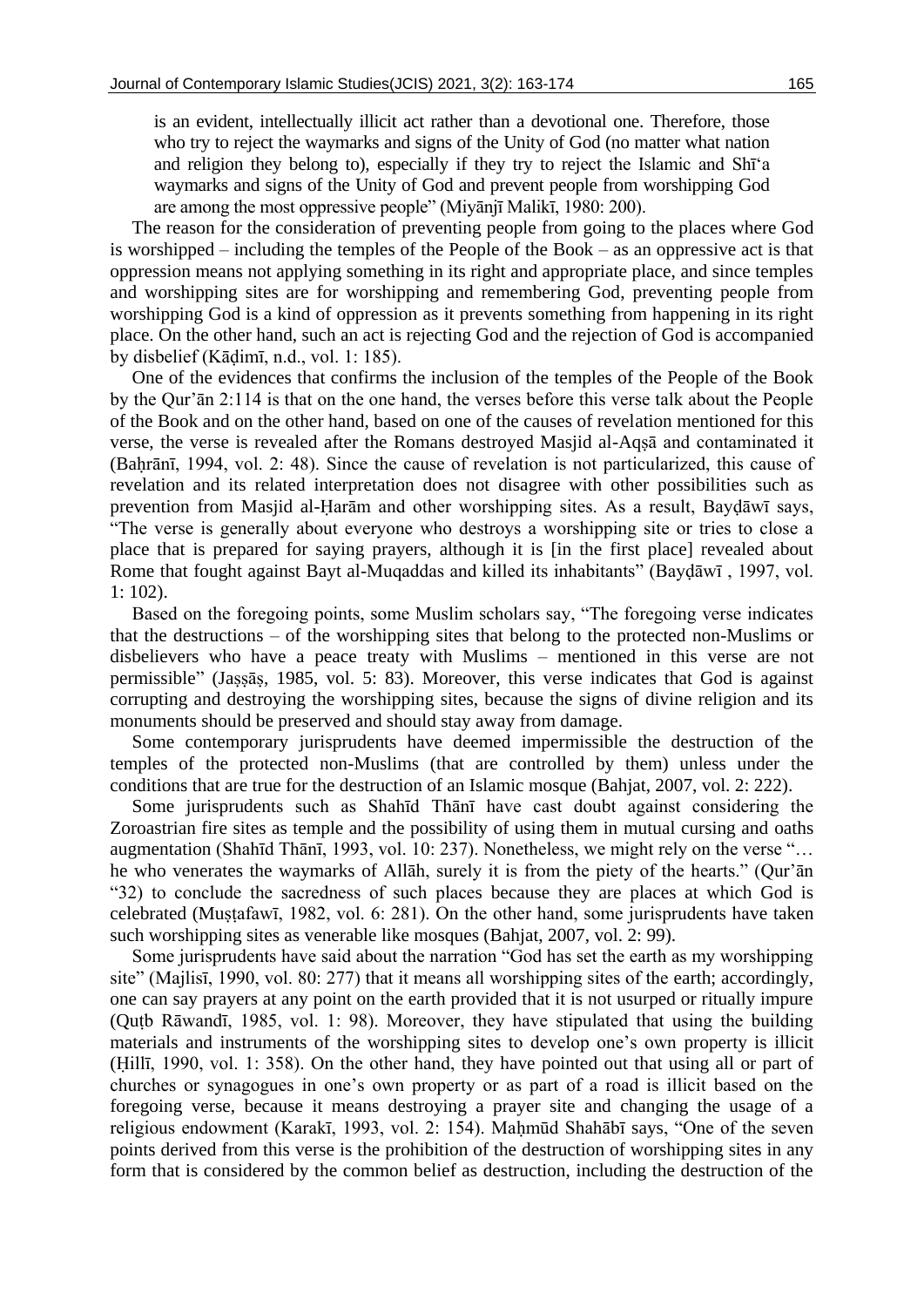is an evident, intellectually illicit act rather than a devotional one. Therefore, those who try to reject the waymarks and signs of the Unity of God (no matter what nation and religion they belong to), especially if they try to reject the Islamic and Shī'a waymarks and signs of the Unity of God and prevent people from worshipping God are among the most oppressive people" (Miyānjī Malikī, 1980: 200).

The reason for the consideration of preventing people from going to the places where God is worshipped – including the temples of the People of the Book – as an oppressive act is that oppression means not applying something in its right and appropriate place, and since temples and worshipping sites are for worshipping and remembering God, preventing people from worshipping God is a kind of oppression as it prevents something from happening in its right place. On the other hand, such an act is rejecting God and the rejection of God is accompanied by disbelief (Kāḍimī, n.d., vol. 1: 185).

One of the evidences that confirms the inclusion of the temples of the People of the Book by the Qur'ān 2:114 is that on the one hand, the verses before this verse talk about the People of the Book and on the other hand, based on one of the causes of revelation mentioned for this verse, the verse is revealed after the Romans destroyed Masjid al-Aqṣā and contaminated it (Baḥrānī, 1994, vol. 2: 48). Since the cause of revelation is not particularized, this cause of revelation and its related interpretation does not disagree with other possibilities such as prevention from Masjid al-Ḥarām and other worshipping sites. As a result, Bayḍāwī says, "The verse is generally about everyone who destroys a worshipping site or tries to close a place that is prepared for saying prayers, although it is [in the first place] revealed about Rome that fought against Bayt al-Muqaddas and killed its inhabitants" (Bayḍāwī , 1997, vol. 1: 102).

Based on the foregoing points, some Muslim scholars say, "The foregoing verse indicates that the destructions – of the worshipping sites that belong to the protected non-Muslims or disbelievers who have a peace treaty with Muslims – mentioned in this verse are not permissible" (Jaṣṣāṣ, 1985, vol. 5: 83). Moreover, this verse indicates that God is against corrupting and destroying the worshipping sites, because the signs of divine religion and its monuments should be preserved and should stay away from damage.

Some contemporary jurisprudents have deemed impermissible the destruction of the temples of the protected non-Muslims (that are controlled by them) unless under the conditions that are true for the destruction of an Islamic mosque (Bahjat, 2007, vol. 2: 222).

Some jurisprudents such as Shahīd Thānī have cast doubt against considering the Zoroastrian fire sites as temple and the possibility of using them in mutual cursing and oaths augmentation (Shahīd Thānī, 1993, vol. 10: 237). Nonetheless, we might rely on the verse "… he who venerates the waymarks of Allāh, surely it is from the piety of the hearts." (Qur'ān "32) to conclude the sacredness of such places because they are places at which God is celebrated (Mustafawī, 1982, vol. 6: 281). On the other hand, some jurisprudents have taken such worshipping sites as venerable like mosques (Bahjat, 2007, vol. 2: 99).

Some jurisprudents have said about the narration "God has set the earth as my worshipping site" (Majlisī, 1990, vol. 80: 277) that it means all worshipping sites of the earth; accordingly, one can say prayers at any point on the earth provided that it is not usurped or ritually impure (Quṭb Rāwandī, 1985, vol. 1: 98). Moreover, they have stipulated that using the building materials and instruments of the worshipping sites to develop one's own property is illicit (Ḥillī, 1990, vol. 1: 358). On the other hand, they have pointed out that using all or part of churches or synagogues in one's own property or as part of a road is illicit based on the foregoing verse, because it means destroying a prayer site and changing the usage of a religious endowment (Karakī, 1993, vol. 2: 154). Maḥmūd Shahābī says, "One of the seven points derived from this verse is the prohibition of the destruction of worshipping sites in any form that is considered by the common belief as destruction, including the destruction of the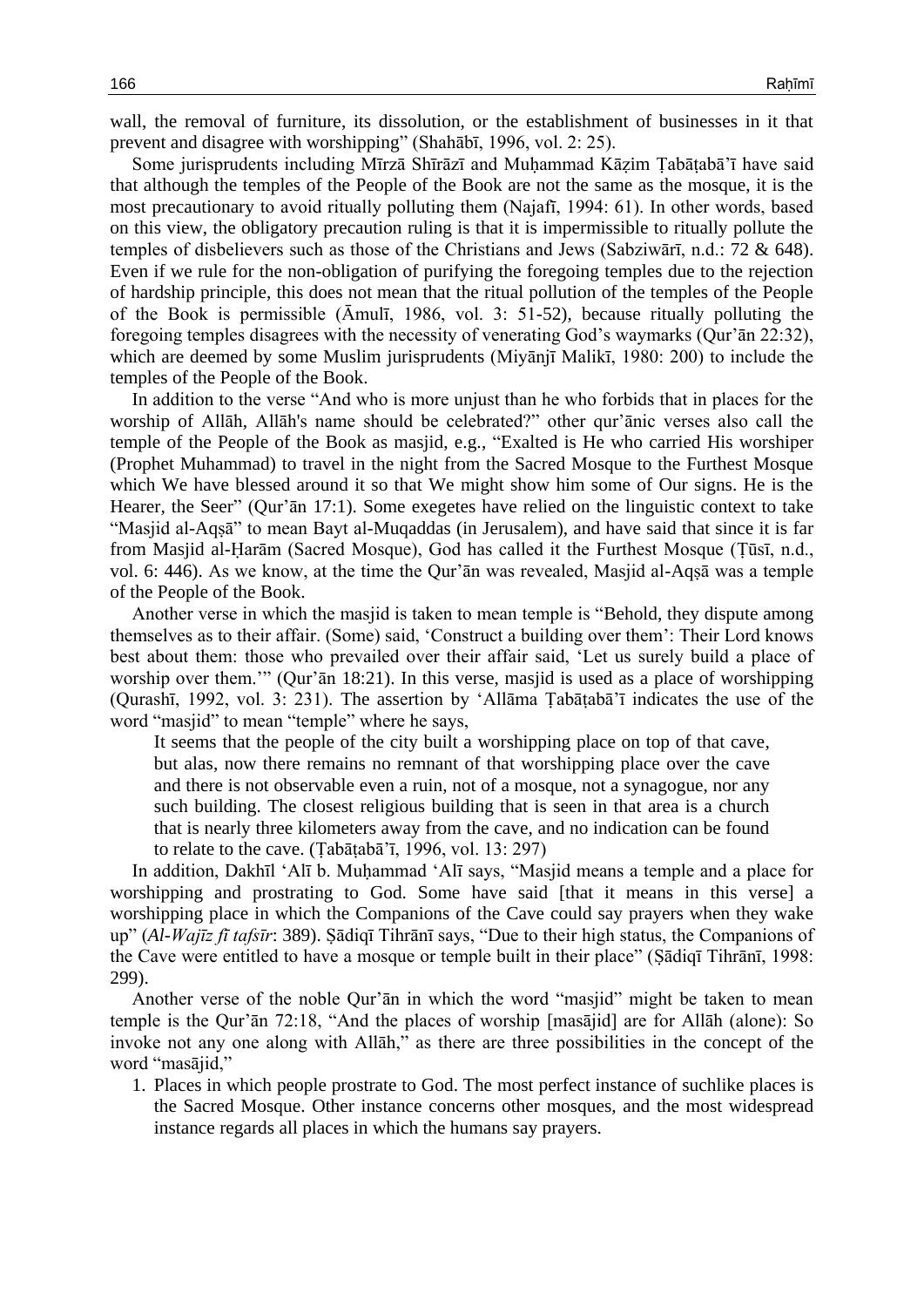wall, the removal of furniture, its dissolution, or the establishment of businesses in it that prevent and disagree with worshipping" (Shahābī, 1996, vol. 2: 25).

Some jurisprudents including Mīrzā Shīrāzī and Muḥammad Kāẓim Ṭabāṭabā'ī have said that although the temples of the People of the Book are not the same as the mosque, it is the most precautionary to avoid ritually polluting them (Najafī, 1994: 61). In other words, based on this view, the obligatory precaution ruling is that it is impermissible to ritually pollute the temples of disbelievers such as those of the Christians and Jews (Sabziwārī, n.d.: 72 & 648). Even if we rule for the non-obligation of purifying the foregoing temples due to the rejection of hardship principle, this does not mean that the ritual pollution of the temples of the People of the Book is permissible (Āmulī, 1986, vol. 3: 51-52), because ritually polluting the foregoing temples disagrees with the necessity of venerating God's waymarks (Qur'ān 22:32), which are deemed by some Muslim jurisprudents (Miyānjī Malikī, 1980: 200) to include the temples of the People of the Book.

In addition to the verse "And who is more unjust than he who forbids that in places for the worship of Allāh, Allāh's name should be celebrated?" other qur'ānic verses also call the temple of the People of the Book as masjid, e.g., "Exalted is He who carried His worshiper (Prophet Muhammad) to travel in the night from the Sacred Mosque to the Furthest Mosque which We have blessed around it so that We might show him some of Our signs. He is the Hearer, the Seer" (Qur'ān 17:1). Some exegetes have relied on the linguistic context to take "Masjid al-Aqṣā" to mean Bayt al-Muqaddas (in Jerusalem), and have said that since it is far from Masjid al-Ḥarām (Sacred Mosque), God has called it the Furthest Mosque (Ṭūsī, n.d., vol. 6: 446). As we know, at the time the Qur'ān was revealed, Masjid al-Aqṣā was a temple of the People of the Book.

Another verse in which the masjid is taken to mean temple is "Behold, they dispute among themselves as to their affair. (Some) said, 'Construct a building over them': Their Lord knows best about them: those who prevailed over their affair said, 'Let us surely build a place of worship over them.'" (Qur'ān 18:21). In this verse, masjid is used as a place of worshipping (Qurashī, 1992, vol. 3: 231). The assertion by 'Allāma Ṭabāṭabā'ī indicates the use of the word "masjid" to mean "temple" where he says,

It seems that the people of the city built a worshipping place on top of that cave, but alas, now there remains no remnant of that worshipping place over the cave and there is not observable even a ruin, not of a mosque, not a synagogue, nor any such building. The closest religious building that is seen in that area is a church that is nearly three kilometers away from the cave, and no indication can be found to relate to the cave. (Ṭabāṭabā'ī, 1996, vol. 13: 297)

In addition, Dakhīl 'Alī b. Muḥammad 'Alī says, "Masjid means a temple and a place for worshipping and prostrating to God. Some have said [that it means in this verse] a worshipping place in which the Companions of the Cave could say prayers when they wake up" (*Al-Wajīz fī tafsīr*: 389). Ṣādiqī Tihrānī says, "Due to their high status, the Companions of the Cave were entitled to have a mosque or temple built in their place" (Ṣādiqī Tihrānī, 1998: 299).

Another verse of the noble Qur'ān in which the word "masjid" might be taken to mean temple is the Qur'ān 72:18, "And the places of worship [masājid] are for Allāh (alone): So invoke not any one along with Allāh," as there are three possibilities in the concept of the word "masājid,"

1. Places in which people prostrate to God. The most perfect instance of suchlike places is the Sacred Mosque. Other instance concerns other mosques, and the most widespread instance regards all places in which the humans say prayers.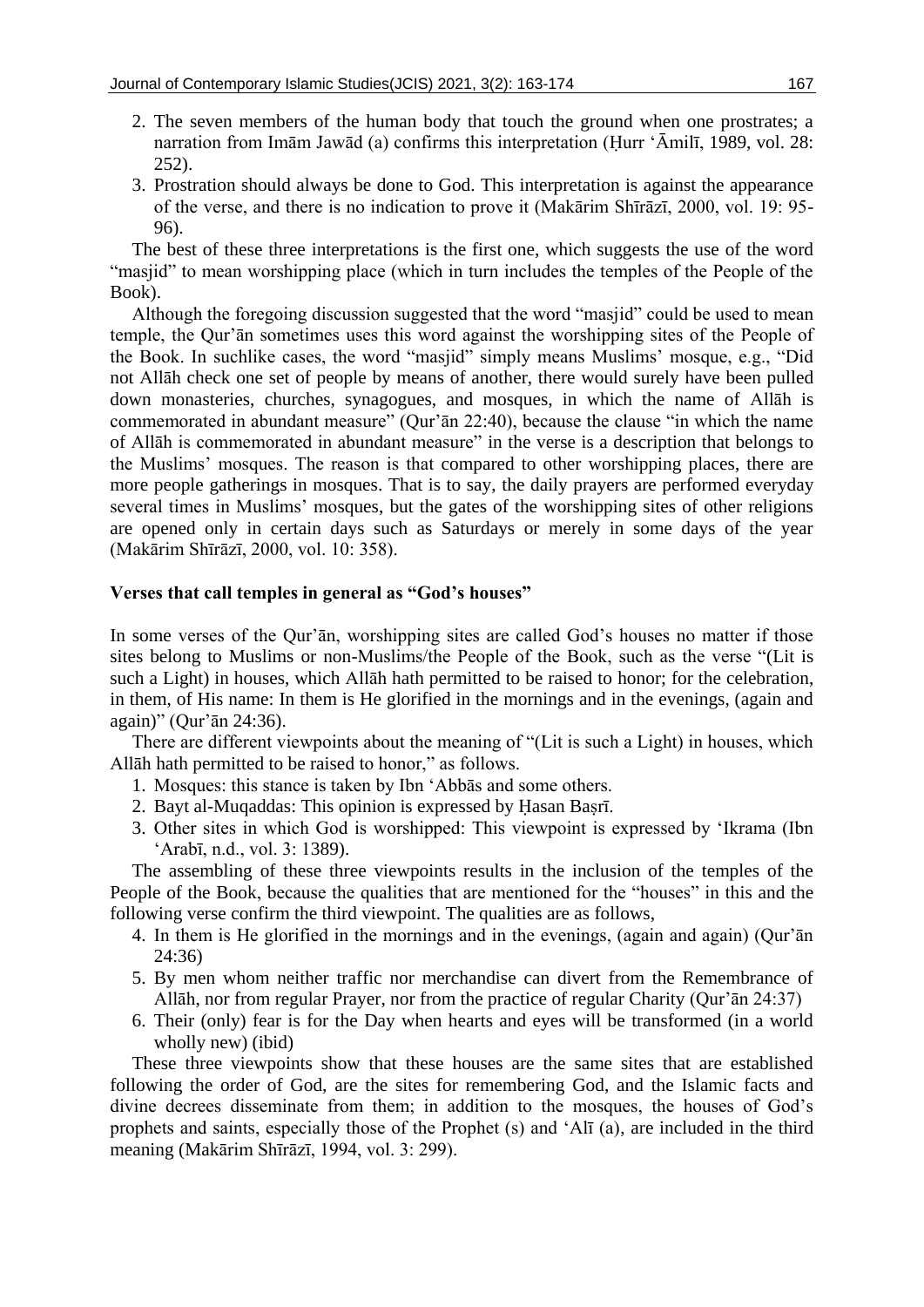- 2. The seven members of the human body that touch the ground when one prostrates; a narration from Imām Jawād (a) confirms this interpretation (Ḥurr 'Āmilī, 1989, vol. 28: 252).
- 3. Prostration should always be done to God. This interpretation is against the appearance of the verse, and there is no indication to prove it (Makārim Shīrāzī, 2000, vol. 19: 95- 96).

The best of these three interpretations is the first one, which suggests the use of the word "masjid" to mean worshipping place (which in turn includes the temples of the People of the Book).

Although the foregoing discussion suggested that the word "masjid" could be used to mean temple, the Qur'ān sometimes uses this word against the worshipping sites of the People of the Book. In suchlike cases, the word "masjid" simply means Muslims' mosque, e.g., "Did not Allāh check one set of people by means of another, there would surely have been pulled down monasteries, churches, synagogues, and mosques, in which the name of Allāh is commemorated in abundant measure" (Qur'ān 22:40), because the clause "in which the name of Allāh is commemorated in abundant measure" in the verse is a description that belongs to the Muslims' mosques. The reason is that compared to other worshipping places, there are more people gatherings in mosques. That is to say, the daily prayers are performed everyday several times in Muslims' mosques, but the gates of the worshipping sites of other religions are opened only in certain days such as Saturdays or merely in some days of the year (Makārim Shīrāzī, 2000, vol. 10: 358).

### **Verses that call temples in general as "God's houses"**

In some verses of the Qur'ān, worshipping sites are called God's houses no matter if those sites belong to Muslims or non-Muslims/the People of the Book, such as the verse "(Lit is such a Light) in houses, which Allāh hath permitted to be raised to honor; for the celebration, in them, of His name: In them is He glorified in the mornings and in the evenings, (again and again)" (Qur'ān 24:36).

There are different viewpoints about the meaning of "(Lit is such a Light) in houses, which Allāh hath permitted to be raised to honor," as follows.

- 1. Mosques: this stance is taken by Ibn 'Abbās and some others.
- 2. Bayt al-Muqaddas: This opinion is expressed by Ḥasan Baṣrī.
- 3. Other sites in which God is worshipped: This viewpoint is expressed by 'Ikrama (Ibn 'Arabī, n.d., vol. 3: 1389).

The assembling of these three viewpoints results in the inclusion of the temples of the People of the Book, because the qualities that are mentioned for the "houses" in this and the following verse confirm the third viewpoint. The qualities are as follows,

- 4. In them is He glorified in the mornings and in the evenings, (again and again) (Qur'ān 24:36)
- 5. By men whom neither traffic nor merchandise can divert from the Remembrance of Allāh, nor from regular Prayer, nor from the practice of regular Charity (Qur'ān 24:37)
- 6. Their (only) fear is for the Day when hearts and eyes will be transformed (in a world wholly new) (ibid)

These three viewpoints show that these houses are the same sites that are established following the order of God, are the sites for remembering God, and the Islamic facts and divine decrees disseminate from them; in addition to the mosques, the houses of God's prophets and saints, especially those of the Prophet (s) and 'Alī (a), are included in the third meaning (Makārim Shīrāzī, 1994, vol. 3: 299).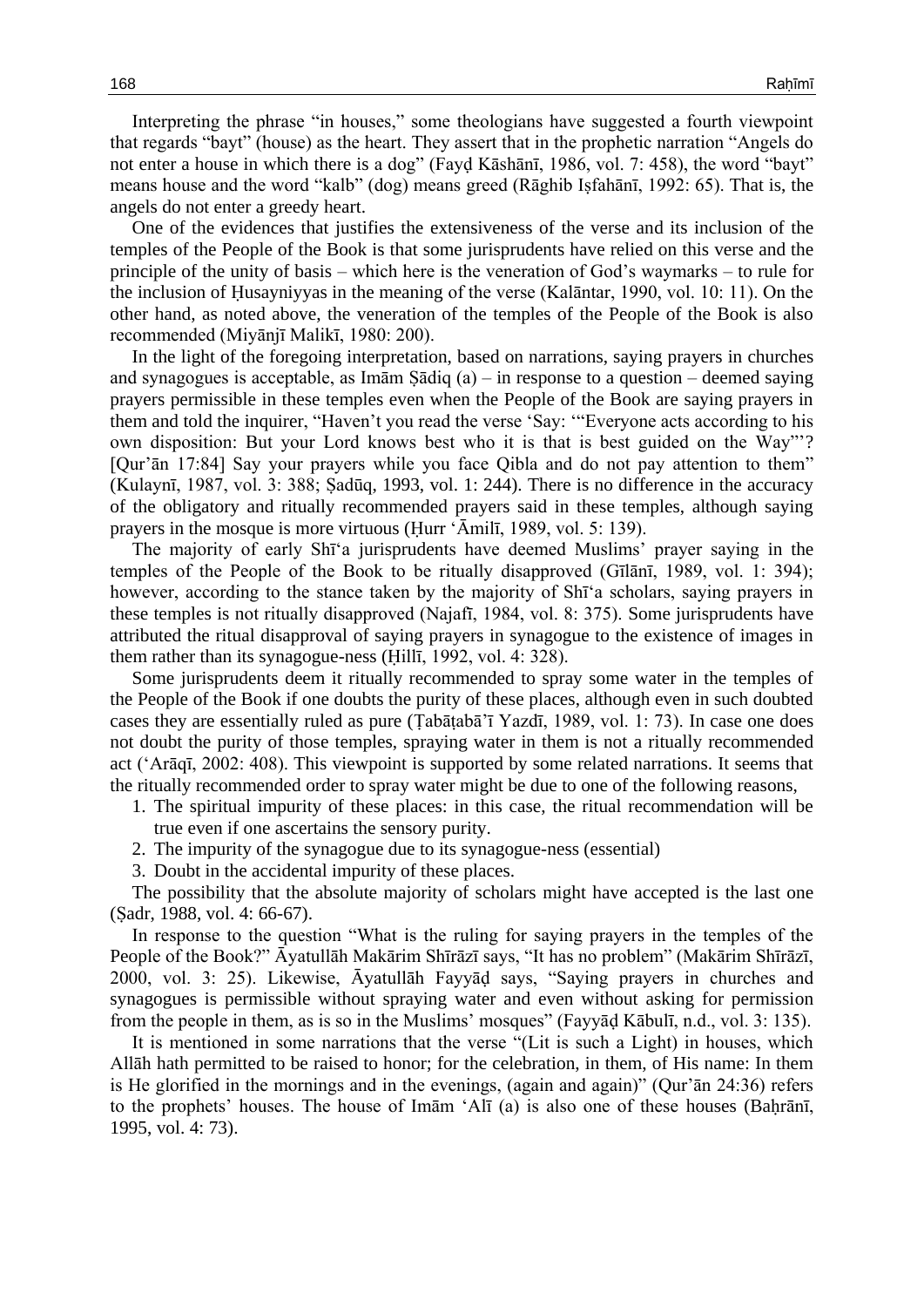Interpreting the phrase "in houses," some theologians have suggested a fourth viewpoint that regards "bayt" (house) as the heart. They assert that in the prophetic narration "Angels do not enter a house in which there is a dog" (Fayḍ Kāshānī, 1986, vol. 7: 458), the word "bayt" means house and the word "kalb" (dog) means greed (Rāghib Iṣfahānī, 1992: 65). That is, the angels do not enter a greedy heart.

One of the evidences that justifies the extensiveness of the verse and its inclusion of the temples of the People of the Book is that some jurisprudents have relied on this verse and the principle of the unity of basis – which here is the veneration of God's waymarks – to rule for the inclusion of Ḥusayniyyas in the meaning of the verse (Kalāntar, 1990, vol. 10: 11). On the other hand, as noted above, the veneration of the temples of the People of the Book is also recommended (Miyānjī Malikī, 1980: 200).

In the light of the foregoing interpretation, based on narrations, saying prayers in churches and synagogues is acceptable, as Imām Ṣādiq  $(a)$  – in response to a question – deemed saying prayers permissible in these temples even when the People of the Book are saying prayers in them and told the inquirer, "Haven't you read the verse 'Say: '"Everyone acts according to his own disposition: But your Lord knows best who it is that is best guided on the Way"'? [Qur'ān 17:84] Say your prayers while you face Qibla and do not pay attention to them" (Kulaynī, 1987, vol. 3: 388; Ṣadūq, 1993, vol. 1: 244). There is no difference in the accuracy of the obligatory and ritually recommended prayers said in these temples, although saying prayers in the mosque is more virtuous (Ḥurr 'Āmilī, 1989, vol. 5: 139).

The majority of early Shī'a jurisprudents have deemed Muslims' prayer saying in the temples of the People of the Book to be ritually disapproved (Gīlānī, 1989, vol. 1: 394); however, according to the stance taken by the majority of Shī'a scholars, saying prayers in these temples is not ritually disapproved (Najafī, 1984, vol. 8: 375). Some jurisprudents have attributed the ritual disapproval of saying prayers in synagogue to the existence of images in them rather than its synagogue-ness (Ḥillī, 1992, vol. 4: 328).

Some jurisprudents deem it ritually recommended to spray some water in the temples of the People of the Book if one doubts the purity of these places, although even in such doubted cases they are essentially ruled as pure (Ṭabāṭabā'ī Yazdī, 1989, vol. 1: 73). In case one does not doubt the purity of those temples, spraying water in them is not a ritually recommended act ('Arāqī, 2002: 408). This viewpoint is supported by some related narrations. It seems that the ritually recommended order to spray water might be due to one of the following reasons,

- 1. The spiritual impurity of these places: in this case, the ritual recommendation will be true even if one ascertains the sensory purity.
- 2. The impurity of the synagogue due to its synagogue-ness (essential)
- 3. Doubt in the accidental impurity of these places.

The possibility that the absolute majority of scholars might have accepted is the last one (Ṣadr, 1988, vol. 4: 66-67).

In response to the question "What is the ruling for saying prayers in the temples of the People of the Book?" Āyatullāh Makārim Shīrāzī says, "It has no problem" (Makārim Shīrāzī, 2000, vol. 3: 25). Likewise, Āyatullāh Fayyāḍ says, "Saying prayers in churches and synagogues is permissible without spraying water and even without asking for permission from the people in them, as is so in the Muslims' mosques" (Fayyāḍ Kābulī, n.d., vol. 3: 135).

It is mentioned in some narrations that the verse "(Lit is such a Light) in houses, which Allāh hath permitted to be raised to honor; for the celebration, in them, of His name: In them is He glorified in the mornings and in the evenings, (again and again)" (Qur'ān 24:36) refers to the prophets' houses. The house of Imām 'Alī (a) is also one of these houses (Baḥrānī, 1995, vol. 4: 73).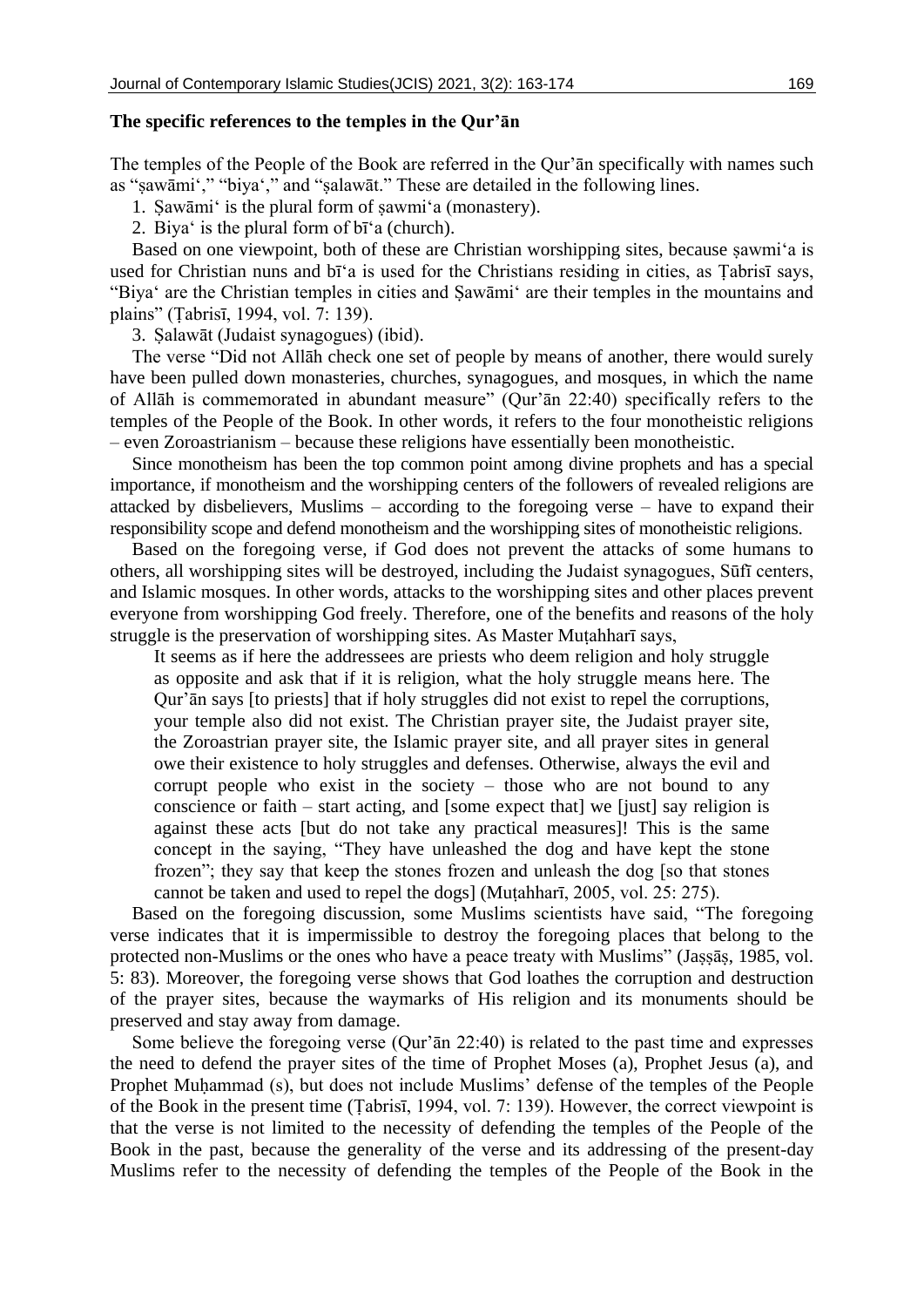## **The specific references to the temples in the Qur'ān**

The temples of the People of the Book are referred in the Qur'ān specifically with names such as "ṣawāmi'," "biya'," and "ṣalawāt." These are detailed in the following lines.

1. Ṣawāmi' is the plural form of ṣawmi'a (monastery).

2. Biya' is the plural form of bī'a (church).

Based on one viewpoint, both of these are Christian worshipping sites, because ṣawmi'a is used for Christian nuns and bī'a is used for the Christians residing in cities, as Ṭabrisī says, "Biya' are the Christian temples in cities and Ṣawāmi' are their temples in the mountains and plains" (Ṭabrisī, 1994, vol. 7: 139).

3. Ṣalawāt (Judaist synagogues) (ibid).

The verse "Did not Allāh check one set of people by means of another, there would surely have been pulled down monasteries, churches, synagogues, and mosques, in which the name of Allāh is commemorated in abundant measure" (Qur'ān 22:40) specifically refers to the temples of the People of the Book. In other words, it refers to the four monotheistic religions – even Zoroastrianism – because these religions have essentially been monotheistic.

Since monotheism has been the top common point among divine prophets and has a special importance, if monotheism and the worshipping centers of the followers of revealed religions are attacked by disbelievers, Muslims – according to the foregoing verse – have to expand their responsibility scope and defend monotheism and the worshipping sites of monotheistic religions.

Based on the foregoing verse, if God does not prevent the attacks of some humans to others, all worshipping sites will be destroyed, including the Judaist synagogues, Sūfī centers, and Islamic mosques. In other words, attacks to the worshipping sites and other places prevent everyone from worshipping God freely. Therefore, one of the benefits and reasons of the holy struggle is the preservation of worshipping sites. As Master Muṭahharī says,

It seems as if here the addressees are priests who deem religion and holy struggle as opposite and ask that if it is religion, what the holy struggle means here. The Qur'ān says [to priests] that if holy struggles did not exist to repel the corruptions, your temple also did not exist. The Christian prayer site, the Judaist prayer site, the Zoroastrian prayer site, the Islamic prayer site, and all prayer sites in general owe their existence to holy struggles and defenses. Otherwise, always the evil and corrupt people who exist in the society – those who are not bound to any conscience or faith – start acting, and [some expect that] we [just] say religion is against these acts [but do not take any practical measures]! This is the same concept in the saying, "They have unleashed the dog and have kept the stone frozen"; they say that keep the stones frozen and unleash the dog [so that stones cannot be taken and used to repel the dogs] (Muṭahharī, 2005, vol. 25: 275).

Based on the foregoing discussion, some Muslims scientists have said, "The foregoing verse indicates that it is impermissible to destroy the foregoing places that belong to the protected non-Muslims or the ones who have a peace treaty with Muslims" (Jaṣṣāṣ, 1985, vol. 5: 83). Moreover, the foregoing verse shows that God loathes the corruption and destruction of the prayer sites, because the waymarks of His religion and its monuments should be preserved and stay away from damage.

Some believe the foregoing verse (Qur'ān 22:40) is related to the past time and expresses the need to defend the prayer sites of the time of Prophet Moses (a), Prophet Jesus (a), and Prophet Muḥammad (s), but does not include Muslims' defense of the temples of the People of the Book in the present time (Ṭabrisī, 1994, vol. 7: 139). However, the correct viewpoint is that the verse is not limited to the necessity of defending the temples of the People of the Book in the past, because the generality of the verse and its addressing of the present-day Muslims refer to the necessity of defending the temples of the People of the Book in the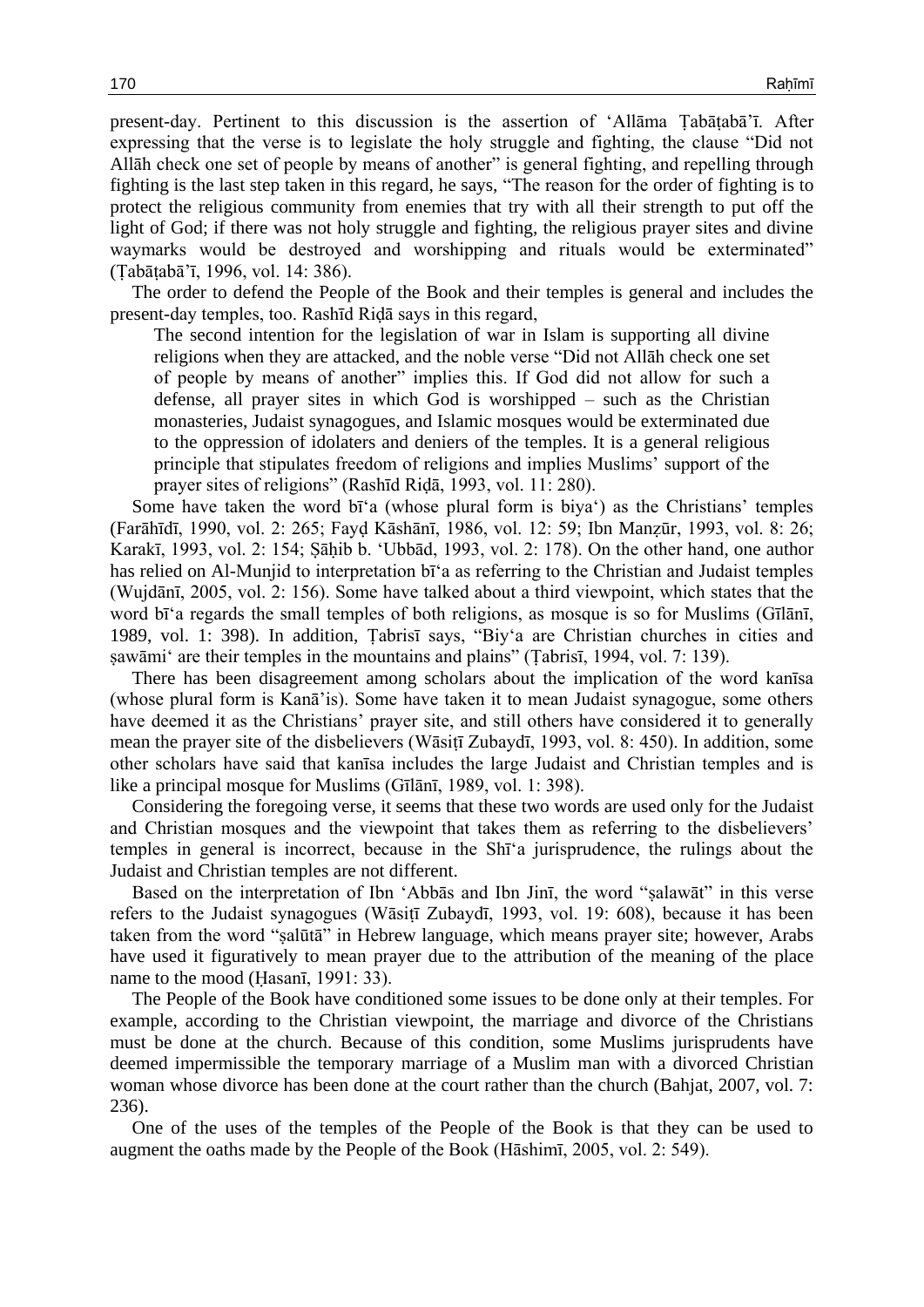present-day. Pertinent to this discussion is the assertion of 'Allāma Ṭabāṭabā'ī. After expressing that the verse is to legislate the holy struggle and fighting, the clause "Did not Allāh check one set of people by means of another" is general fighting, and repelling through fighting is the last step taken in this regard, he says, "The reason for the order of fighting is to protect the religious community from enemies that try with all their strength to put off the light of God; if there was not holy struggle and fighting, the religious prayer sites and divine waymarks would be destroyed and worshipping and rituals would be exterminated" (Ṭabāṭabā'ī, 1996, vol. 14: 386).

The order to defend the People of the Book and their temples is general and includes the present-day temples, too. Rashīd Riḍā says in this regard,

The second intention for the legislation of war in Islam is supporting all divine religions when they are attacked, and the noble verse "Did not Allāh check one set of people by means of another" implies this. If God did not allow for such a defense, all prayer sites in which God is worshipped – such as the Christian monasteries, Judaist synagogues, and Islamic mosques would be exterminated due to the oppression of idolaters and deniers of the temples. It is a general religious principle that stipulates freedom of religions and implies Muslims' support of the prayer sites of religions" (Rashīd Riḍā, 1993, vol. 11: 280).

Some have taken the word bī'a (whose plural form is biya') as the Christians' temples (Farāhīdī, 1990, vol. 2: 265; Fayḍ Kāshānī, 1986, vol. 12: 59; Ibn Manẓūr, 1993, vol. 8: 26; Karakī, 1993, vol. 2: 154; Ṣāḥib b. 'Ubbād, 1993, vol. 2: 178). On the other hand, one author has relied on Al-Munjid to interpretation bī'a as referring to the Christian and Judaist temples (Wujdānī, 2005, vol. 2: 156). Some have talked about a third viewpoint, which states that the word bī'a regards the small temples of both religions, as mosque is so for Muslims (Gīlānī, 1989, vol. 1: 398). In addition, Ṭabrisī says, "Biy'a are Christian churches in cities and sawāmi' are their temples in the mountains and plains" (Tabrisī, 1994, vol. 7: 139).

There has been disagreement among scholars about the implication of the word kanīsa (whose plural form is Kanā'is). Some have taken it to mean Judaist synagogue, some others have deemed it as the Christians' prayer site, and still others have considered it to generally mean the prayer site of the disbelievers (Wāsiṭī Zubaydī, 1993, vol. 8: 450). In addition, some other scholars have said that kanīsa includes the large Judaist and Christian temples and is like a principal mosque for Muslims (Gīlānī, 1989, vol. 1: 398).

Considering the foregoing verse, it seems that these two words are used only for the Judaist and Christian mosques and the viewpoint that takes them as referring to the disbelievers' temples in general is incorrect, because in the Shī'a jurisprudence, the rulings about the Judaist and Christian temples are not different.

Based on the interpretation of Ibn 'Abbās and Ibn Jinī, the word "ṣalawāt" in this verse refers to the Judaist synagogues (Wāsitī Zubaydī, 1993, vol. 19: 608), because it has been taken from the word "ṣalūtā" in Hebrew language, which means prayer site; however, Arabs have used it figuratively to mean prayer due to the attribution of the meaning of the place name to the mood (Hasani, 1991: 33).

The People of the Book have conditioned some issues to be done only at their temples. For example, according to the Christian viewpoint, the marriage and divorce of the Christians must be done at the church. Because of this condition, some Muslims jurisprudents have deemed impermissible the temporary marriage of a Muslim man with a divorced Christian woman whose divorce has been done at the court rather than the church (Bahjat, 2007, vol. 7: 236).

One of the uses of the temples of the People of the Book is that they can be used to augment the oaths made by the People of the Book (Hāshimī, 2005, vol. 2: 549).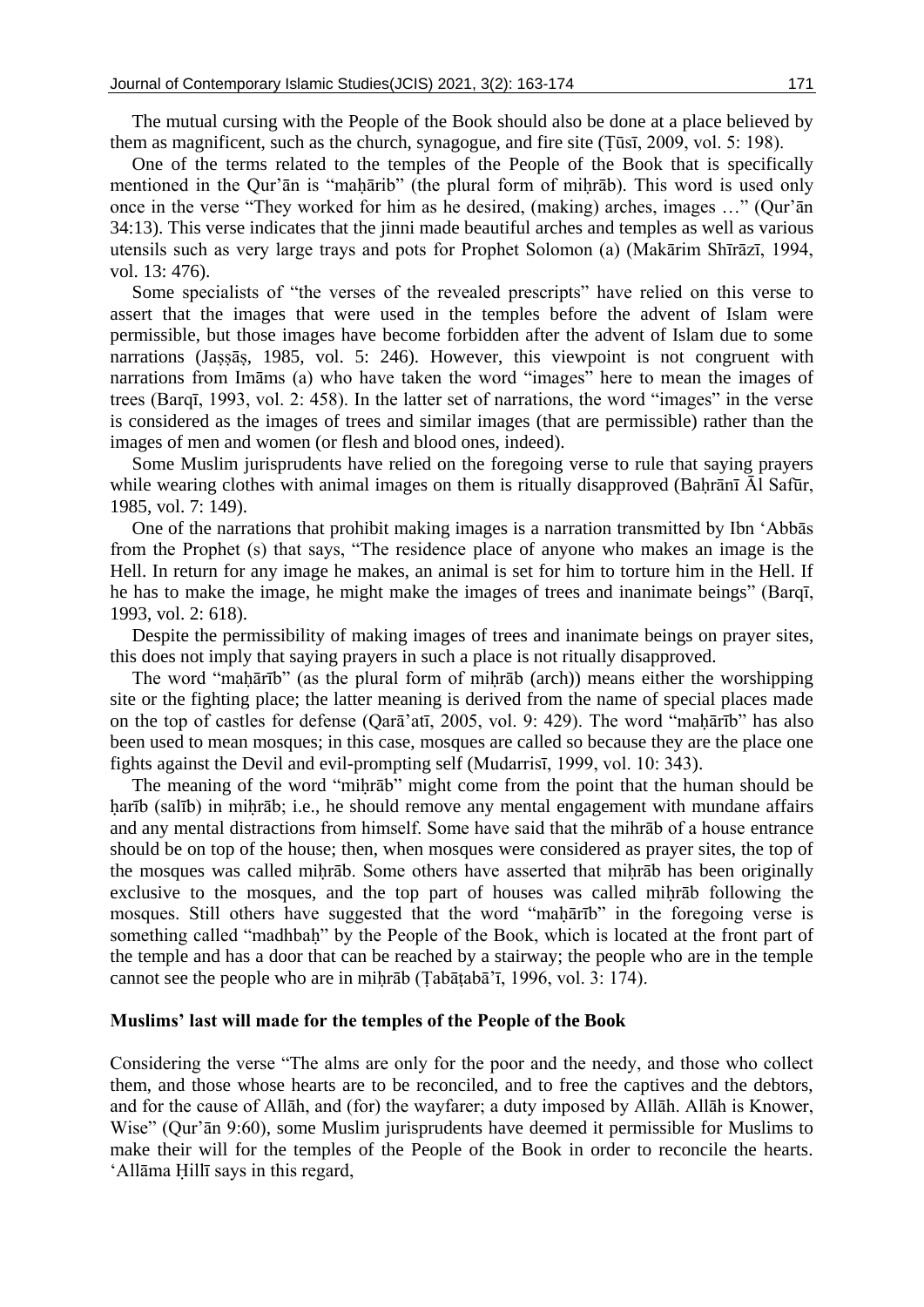The mutual cursing with the People of the Book should also be done at a place believed by them as magnificent, such as the church, synagogue, and fire site (Ṭūsī, 2009, vol. 5: 198).

One of the terms related to the temples of the People of the Book that is specifically mentioned in the Qur'ān is "mahārib" (the plural form of mihrāb). This word is used only once in the verse "They worked for him as he desired, (making) arches, images …" (Qur'ān 34:13). This verse indicates that the jinni made beautiful arches and temples as well as various utensils such as very large trays and pots for Prophet Solomon (a) (Makārim Shīrāzī, 1994, vol. 13: 476).

Some specialists of "the verses of the revealed prescripts" have relied on this verse to assert that the images that were used in the temples before the advent of Islam were permissible, but those images have become forbidden after the advent of Islam due to some narrations (Jaṣṣāṣ, 1985, vol. 5: 246). However, this viewpoint is not congruent with narrations from Imāms (a) who have taken the word "images" here to mean the images of trees (Barqī, 1993, vol. 2: 458). In the latter set of narrations, the word "images" in the verse is considered as the images of trees and similar images (that are permissible) rather than the images of men and women (or flesh and blood ones, indeed).

Some Muslim jurisprudents have relied on the foregoing verse to rule that saying prayers while wearing clothes with animal images on them is ritually disapproved (Baḥrānī Āl Safūr, 1985, vol. 7: 149).

One of the narrations that prohibit making images is a narration transmitted by Ibn 'Abbās from the Prophet (s) that says, "The residence place of anyone who makes an image is the Hell. In return for any image he makes, an animal is set for him to torture him in the Hell. If he has to make the image, he might make the images of trees and inanimate beings" (Barqī, 1993, vol. 2: 618).

Despite the permissibility of making images of trees and inanimate beings on prayer sites, this does not imply that saying prayers in such a place is not ritually disapproved.

The word "maḥārīb" (as the plural form of miḥrāb (arch)) means either the worshipping site or the fighting place; the latter meaning is derived from the name of special places made on the top of castles for defense (Qarā'atī, 2005, vol. 9: 429). The word "maḥārīb" has also been used to mean mosques; in this case, mosques are called so because they are the place one fights against the Devil and evil-prompting self (Mudarrisī, 1999, vol. 10: 343).

The meaning of the word "miḥrāb" might come from the point that the human should be harīb (salīb) in mihrāb; i.e., he should remove any mental engagement with mundane affairs and any mental distractions from himself. Some have said that the mihrāb of a house entrance should be on top of the house; then, when mosques were considered as prayer sites, the top of the mosques was called miḥrāb. Some others have asserted that miḥrāb has been originally exclusive to the mosques, and the top part of houses was called mihrāb following the mosques. Still others have suggested that the word "mahārīb" in the foregoing verse is something called "madhbaḥ" by the People of the Book, which is located at the front part of the temple and has a door that can be reached by a stairway; the people who are in the temple cannot see the people who are in miḥrāb (Ṭabāṭabā'ī, 1996, vol. 3: 174).

#### **Muslims' last will made for the temples of the People of the Book**

Considering the verse "The alms are only for the poor and the needy, and those who collect them, and those whose hearts are to be reconciled, and to free the captives and the debtors, and for the cause of Allāh, and (for) the wayfarer; a duty imposed by Allāh. Allāh is Knower, Wise" (Qur'ān 9:60), some Muslim jurisprudents have deemed it permissible for Muslims to make their will for the temples of the People of the Book in order to reconcile the hearts. 'Allāma Ḥillī says in this regard,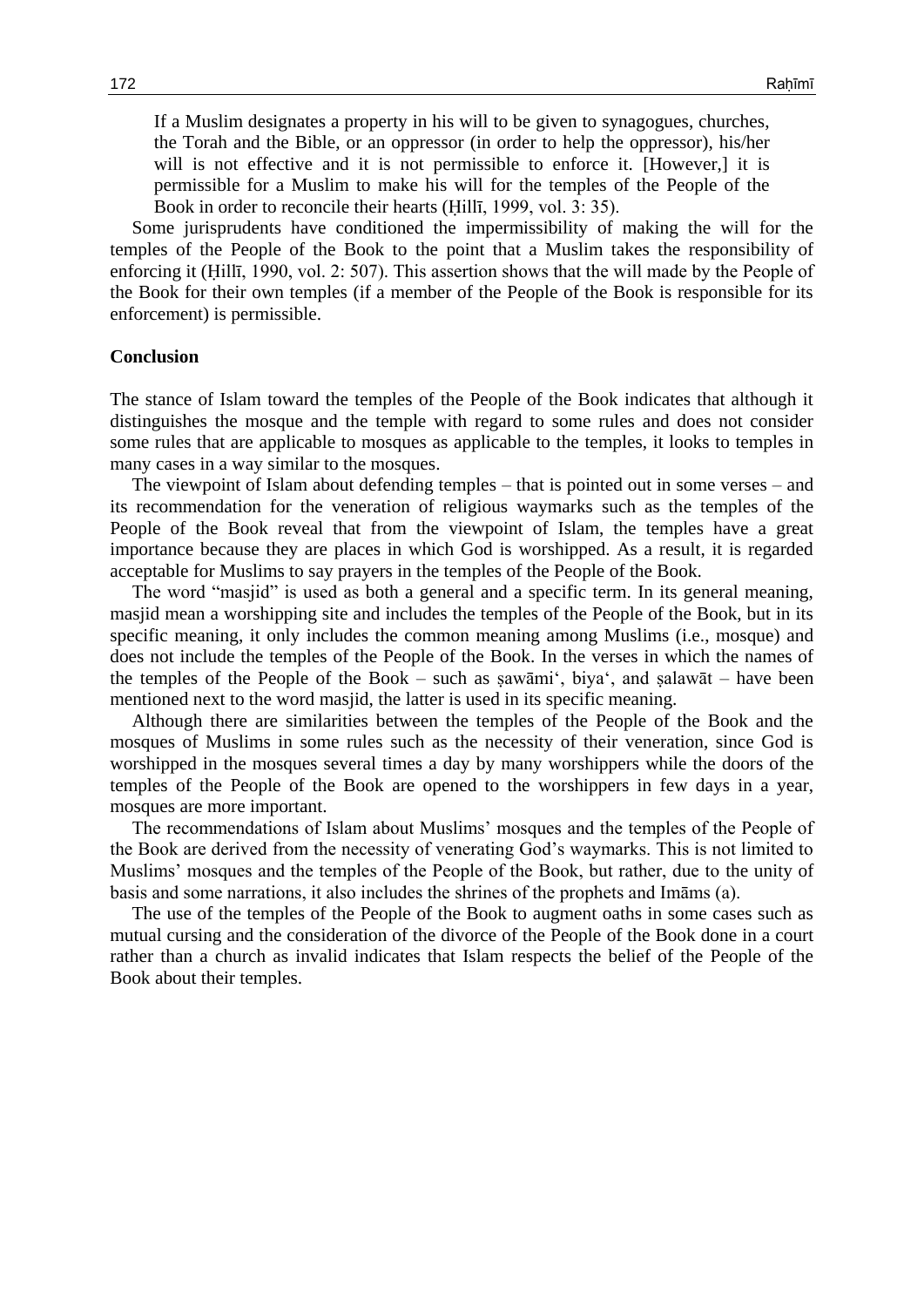If a Muslim designates a property in his will to be given to synagogues, churches, the Torah and the Bible, or an oppressor (in order to help the oppressor), his/her will is not effective and it is not permissible to enforce it. [However,] it is permissible for a Muslim to make his will for the temples of the People of the Book in order to reconcile their hearts (Ḥillī, 1999, vol. 3: 35).

Some jurisprudents have conditioned the impermissibility of making the will for the temples of the People of the Book to the point that a Muslim takes the responsibility of enforcing it (Ḥillī, 1990, vol. 2: 507). This assertion shows that the will made by the People of the Book for their own temples (if a member of the People of the Book is responsible for its enforcement) is permissible.

#### **Conclusion**

The stance of Islam toward the temples of the People of the Book indicates that although it distinguishes the mosque and the temple with regard to some rules and does not consider some rules that are applicable to mosques as applicable to the temples, it looks to temples in many cases in a way similar to the mosques.

The viewpoint of Islam about defending temples – that is pointed out in some verses – and its recommendation for the veneration of religious waymarks such as the temples of the People of the Book reveal that from the viewpoint of Islam, the temples have a great importance because they are places in which God is worshipped. As a result, it is regarded acceptable for Muslims to say prayers in the temples of the People of the Book.

The word "masjid" is used as both a general and a specific term. In its general meaning, masjid mean a worshipping site and includes the temples of the People of the Book, but in its specific meaning, it only includes the common meaning among Muslims (i.e., mosque) and does not include the temples of the People of the Book. In the verses in which the names of the temples of the People of the Book – such as ṣawāmi', biya', and ṣalawāt – have been mentioned next to the word masjid, the latter is used in its specific meaning.

Although there are similarities between the temples of the People of the Book and the mosques of Muslims in some rules such as the necessity of their veneration, since God is worshipped in the mosques several times a day by many worshippers while the doors of the temples of the People of the Book are opened to the worshippers in few days in a year, mosques are more important.

The recommendations of Islam about Muslims' mosques and the temples of the People of the Book are derived from the necessity of venerating God's waymarks. This is not limited to Muslims' mosques and the temples of the People of the Book, but rather, due to the unity of basis and some narrations, it also includes the shrines of the prophets and Imāms (a).

The use of the temples of the People of the Book to augment oaths in some cases such as mutual cursing and the consideration of the divorce of the People of the Book done in a court rather than a church as invalid indicates that Islam respects the belief of the People of the Book about their temples.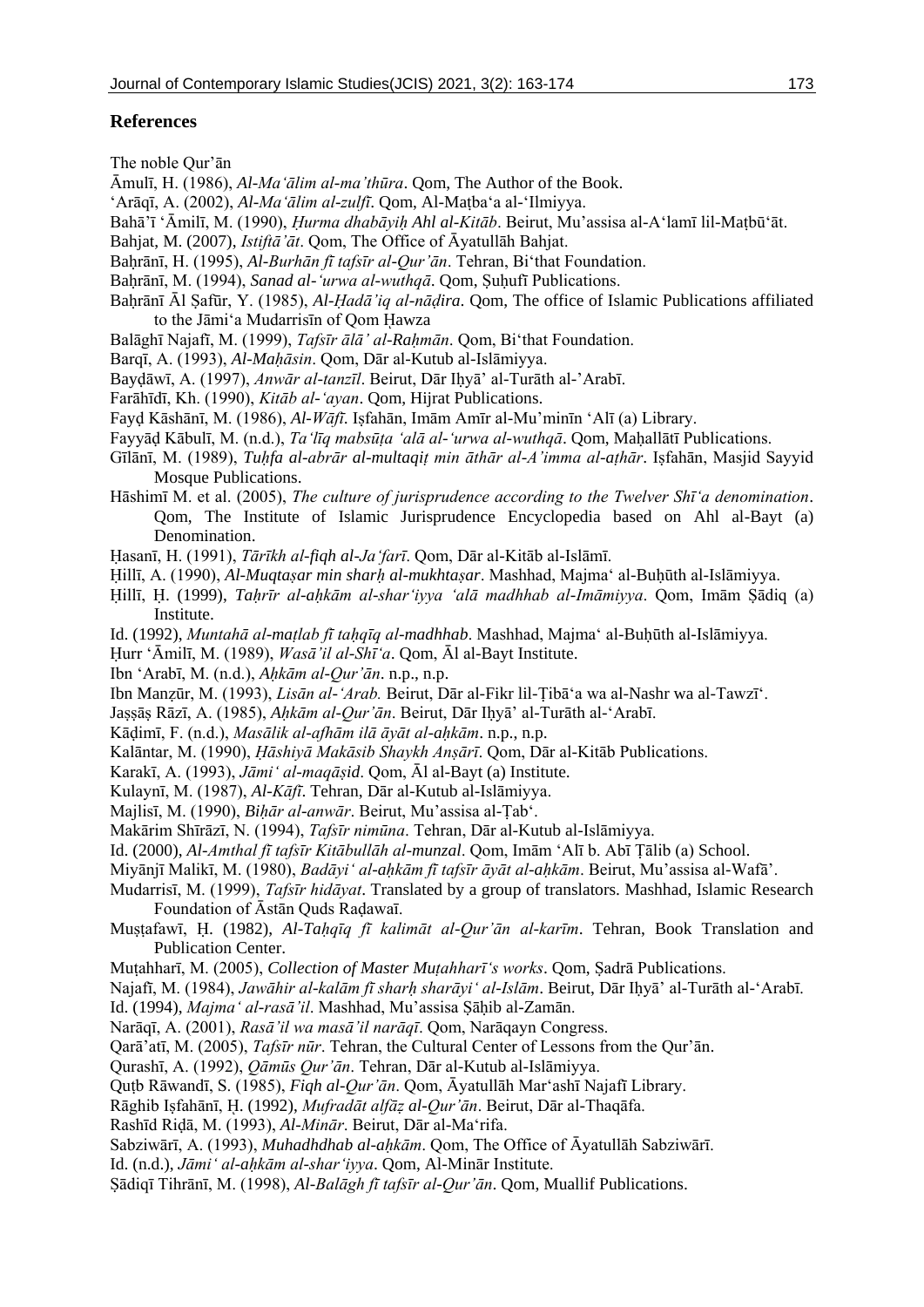## **References**

The noble Qur'ān

Āmulī, H. (1986), *Al-Ma'ālim al-ma'thūra*. Qom, The Author of the Book.

- 'Arāqī, A. (2002), *Al-Ma'ālim al-zulfī*. Qom, Al-Maṭba'a al-'Ilmiyya.
- Bahā'ī 'Āmilī, M. (1990), *Ḥurma dhabāyiḥ Ahl al-Kitāb*. Beirut, Mu'assisa al-A'lamī lil-Maṭbū'āt.
- Bahjat, M. (2007), *Istiftā'āt*. Qom, The Office of Āyatullāh Bahjat.
- Baḥrānī, H. (1995), *Al-Burhān fī tafsīr al-Qur'ān*. Tehran, Bi'that Foundation.
- Bahrānī, M. (1994), *Sanad al-'urwa al-wuthqā*. Oom, Suhufī Publications.
- Bahrānī Āl Safūr, Y. (1985), *Al-Hadā'iq al-nādira*. Qom, The office of Islamic Publications affiliated to the Jāmi'a Mudarrisīn of Oom Hawza
- Balāghī Najafī, M. (1999), *Tafsīr ālā' al-Raḥmān*. Qom, Bi'that Foundation.
- Barqī, A. (1993), *Al-Maḥāsin*. Qom, Dār al-Kutub al-Islāmiyya.
- Bayḍāwī, A. (1997), *Anwār al-tanzīl*. Beirut, Dār Iḥyā' al-Turāth al-'Arabī.
- Farāhīdī, Kh. (1990), *Kitāb al-'ayan*. Qom, Hijrat Publications.
- Fayḍ Kāshānī, M. (1986), *Al-Wāfī*. Iṣfahān, Imām Amīr al-Mu'minīn 'Alī (a) Library.
- Fayyāḍ Kābulī, M. (n.d.), *Ta'līq mabsūṭa 'alā al-'urwa al-wuthqā*. Qom, Maḥallātī Publications.
- Gīlānī, M. (1989), *Tuḥfa al-abrār al-multaqiṭ min āthār al-A'imma al-aṭhār*. Iṣfahān, Masjid Sayyid Mosque Publications.
- Hāshimī M. et al. (2005), *The culture of jurisprudence according to the Twelver Shī'a denomination*. Qom, The Institute of Islamic Jurisprudence Encyclopedia based on Ahl al-Bayt (a) Denomination.
- Ḥasanī, H. (1991), *Tārīkh al-fiqh al-Ja'farī*. Qom, Dār al-Kitāb al-Islāmī.
- Ḥillī, A. (1990), *Al-Muqtaṣar min sharḥ al-mukhtaṣar*. Mashhad, Majma' al-Buḥūth al-Islāmiyya.
- Ḥillī, Ḥ. (1999), *Taḥrīr al-aḥkām al-shar'iyya 'alā madhhab al-Imāmiyya*. Qom, Imām Ṣādiq (a) Institute.
- Id. (1992), *Muntahā al-maṭlab fī taḥqīq al-madhhab*. Mashhad, Majma' al-Buḥūth al-Islāmiyya.
- Ḥurr 'Āmilī, M. (1989), *Wasā'il al-Shī'a*. Qom, Āl al-Bayt Institute.
- Ibn 'Arabī, M. (n.d.), *Aḥkām al-Qur'ān*. n.p., n.p.
- Ibn Manẓūr, M. (1993), *Lisān al-'Arab.* Beirut, Dār al-Fikr lil-Ṭibā'a wa al-Nashr wa al-Tawzī'.
- Jaṣṣāṣ Rāzī, A. (1985), *Aḥkām al-Qur'ān*. Beirut, Dār Iḥyā' al-Turāth al-'Arabī.
- Kāḍimī, F. (n.d.), *Masālik al-afhām ilā āyāt al-aḥkām*. n.p., n.p.
- Kalāntar, M. (1990), *Ḥāshiyā Makāsib Shaykh Anṣārī*. Qom, Dār al-Kitāb Publications.
- Karakī, A. (1993), *Jāmi' al-maqāṣid*. Qom, Āl al-Bayt (a) Institute.
- Kulaynī, M. (1987), *Al-Kāfī*. Tehran, Dār al-Kutub al-Islāmiyya.
- Majlisī, M. (1990), *Biḥār al-anwār*. Beirut, Mu'assisa al-Ṭab'.
- Makārim Shīrāzī, N. (1994), *Tafsīr nimūna*. Tehran, Dār al-Kutub al-Islāmiyya.
- Id. (2000), *Al-Amthal fī tafsīr Kitābullāh al-munzal*. Qom, Imām 'Alī b. Abī Ṭālib (a) School.
- Miyānjī Malikī, M. (1980), *Badāyi' al-aḥkām fī tafsīr āyāt al-aḥkām*. Beirut, Mu'assisa al-Wafā'.
- Mudarrisī, M. (1999), *Tafsīr hidāyat*. Translated by a group of translators. Mashhad, Islamic Research Foundation of Āstān Quds Raḍawaī.
- Muṣṭafawī, Ḥ. (1982), *Al-Taḥqīq fī kalimāt al-Qur'ān al-karīm*. Tehran, Book Translation and Publication Center.
- Muṭahharī, M. (2005), *Collection of Master Muṭahharī's works*. Qom, Ṣadrā Publications.
- Najafī, M. (1984), *Jawāhir al-kalām fī sharḥ sharāyi' al-Islām*. Beirut, Dār Iḥyā' al-Turāth al-'Arabī.
- Id. (1994), *Majma' al-rasā'il*. Mashhad, Mu'assisa Ṣāḥib al-Zamān.
- Narāqī, A. (2001), *Rasā'il wa masā'il narāqī*. Qom, Narāqayn Congress.
- Qarā'atī, M. (2005), *Tafsīr nūr*. Tehran, the Cultural Center of Lessons from the Qur'ān.
- Qurashī, A. (1992), *Qāmūs Qur'ān*. Tehran, Dār al-Kutub al-Islāmiyya.
- Quṭb Rāwandī, S. (1985), *Fiqh al-Qur'ān*. Qom, Āyatullāh Mar'ashī Najafī Library.
- Rāghib Iṣfahānī, ῌ. (1992), *Mufradāt alfāẓ al-Qur'ān*. Beirut, Dār al-Thaqāfa.
- Rashīd Riḍā, M. (1993), *Al-Minār*. Beirut, Dār al-Ma'rifa.
- Sabziwārī, A. (1993), *Muhadhdhab al-aḥkām*. Qom, The Office of Āyatullāh Sabziwārī.
- Id. (n.d.), *Jāmi' al-aḥkām al-shar'iyya*. Qom, Al-Minār Institute.
- Ṣādiqī Tihrānī, M. (1998), *Al-Balāgh fī tafsīr al-Qur'ān*. Qom, Muallif Publications.